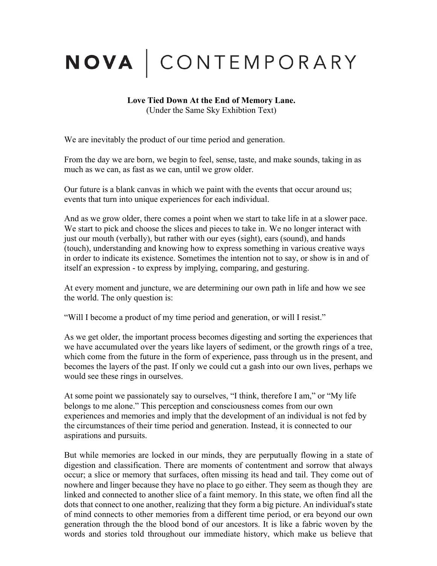## NOVA | CONTEMPORARY

## **Love Tied Down At the End of Memory Lane.** (Under the Same Sky Exhibtion Text)

We are inevitably the product of our time period and generation.

From the day we are born, we begin to feel, sense, taste, and make sounds, taking in as much as we can, as fast as we can, until we grow older.

Our future is a blank canvas in which we paint with the events that occur around us; events that turn into unique experiences for each individual.

And as we grow older, there comes a point when we start to take life in at a slower pace. We start to pick and choose the slices and pieces to take in. We no longer interact with just our mouth (verbally), but rather with our eyes (sight), ears (sound), and hands (touch), understanding and knowing how to express something in various creative ways in order to indicate its existence. Sometimes the intention not to say, or show is in and of itself an expression - to express by implying, comparing, and gesturing.

At every moment and juncture, we are determining our own path in life and how we see the world. The only question is:

"Will I become a product of my time period and generation, or will I resist."

As we get older, the important process becomes digesting and sorting the experiences that we have accumulated over the years like layers of sediment, or the growth rings of a tree, which come from the future in the form of experience, pass through us in the present, and becomes the layers of the past. If only we could cut a gash into our own lives, perhaps we would see these rings in ourselves.

At some point we passionately say to ourselves, "I think, therefore I am," or "My life belongs to me alone." This perception and consciousness comes from our own experiences and memories and imply that the development of an individual is not fed by the circumstances of their time period and generation. Instead, it is connected to our aspirations and pursuits.

But while memories are locked in our minds, they are perputually flowing in a state of digestion and classification. There are moments of contentment and sorrow that always occur; a slice or memory that surfaces, often missing its head and tail. They come out of nowhere and linger because they have no place to go either. They seem as though they are linked and connected to another slice of a faint memory. In this state, we often find all the dots that connect to one another, realizing that they form a big picture. An individual's state of mind connects to other memories from a different time period, or era beyond our own generation through the the blood bond of our ancestors. It is like a fabric woven by the words and stories told throughout our immediate history, which make us believe that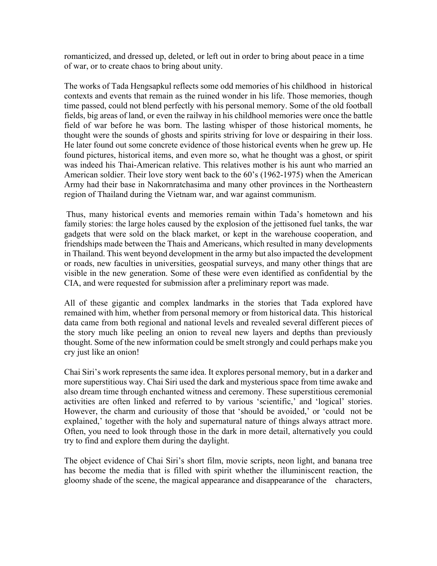romanticized, and dressed up, deleted, or left out in order to bring about peace in a time of war, or to create chaos to bring about unity.

The works of Tada Hengsapkul reflects some odd memories of his childhood in historical contexts and events that remain as the ruined wonder in his life. Those memories, though time passed, could not blend perfectly with his personal memory. Some of the old football fields, big areas of land, or even the railway in his childhool memories were once the battle field of war before he was born. The lasting whisper of those historical moments, he thought were the sounds of ghosts and spirits striving for love or despairing in their loss. He later found out some concrete evidence of those historical events when he grew up. He found pictures, historical items, and even more so, what he thought was a ghost, or spirit was indeed his Thai-American relative. This relatives mother is his aunt who married an American soldier. Their love story went back to the 60's (1962-1975) when the American Army had their base in Nakornratchasima and many other provinces in the Northeastern region of Thailand during the Vietnam war, and war against communism.

Thus, many historical events and memories remain within Tada's hometown and his family stories: the large holes caused by the explosion of the jettisoned fuel tanks, the war gadgets that were sold on the black market, or kept in the warehouse cooperation, and friendships made between the Thais and Americans, which resulted in many developments in Thailand. This went beyond development in the army but also impacted the development or roads, new faculties in universities, geospatial surveys, and many other things that are visible in the new generation. Some of these were even identified as confidential by the CIA, and were requested for submission after a preliminary report was made.

All of these gigantic and complex landmarks in the stories that Tada explored have remained with him, whether from personal memory or from historical data. This historical data came from both regional and national levels and revealed several different pieces of the story much like peeling an onion to reveal new layers and depths than previously thought. Some of the new information could be smelt strongly and could perhaps make you cry just like an onion!

Chai Siri's work represents the same idea. It explores personal memory, but in a darker and more superstitious way. Chai Siri used the dark and mysterious space from time awake and also dream time through enchanted witness and ceremony. These superstitious ceremonial activities are often linked and referred to by various 'scientific,' and 'logical' stories. However, the charm and curiousity of those that 'should be avoided,' or 'could not be explained,' together with the holy and supernatural nature of things always attract more. Often, you need to look through those in the dark in more detail, alternatively you could try to find and explore them during the daylight.

The object evidence of Chai Siri's short film, movie scripts, neon light, and banana tree has become the media that is filled with spirit whether the illuminiscent reaction, the gloomy shade of the scene, the magical appearance and disappearance of the characters,